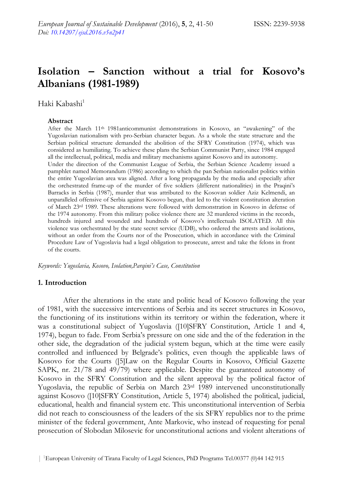# **Isolation – Sanction without a trial for Kosovo's Albanians (1981-1989)**

Haki Kabashi<sup>1</sup>

#### **Abstract**

After the March 11th 1981anticommunist demonstrations in Kosovo, an "awakening" of the Yugoslavian nationalism with pro-Serbian character begun. As a whole the state structure and the Serbian political structure demanded the abolition of the SFRY Constitution (1974), which was considered as humiliating. To achieve these plans the Serbian Communist Party, since 1984 engaged all the intellectual, political, media and military mechanisms against Kosovo and its autonomy.

Under the direction of the Communist League of Serbia, the Serbian Science Academy issued a pamphlet named Memorandum (1986) according to which the pan Serbian nationalist politics within the entire Yugoslavian area was aligned. After a long propaganda by the media and especially after the orchestrated frame-up of the murder of five soldiers (different nationalities) in the Praqini's Barracks in Serbia (1987), murder that was attributed to the Kosovan soldier Aziz Kelmendi, an unparalleled offensive of Serbia against Kosovo begun, that led to the violent constitution alteration of March 23rd 1989. These alterations were followed with demonstration in Kosovo in defense of the 1974 autonomy. From this military police violence there are 32 murdered victims in the records, hundreds injured and wounded and hundreds of Kosovo's intellectuals ISOLATED. All this violence was orchestrated by the state secret service (UDB), who ordered the arrests and isolations, without an order from the Courts nor of the Prosecution, which in accordance with the Criminal Procedure Law of Yugoslavia had a legal obligation to prosecute, arrest and take the felons in front of the courts.

*Keywords: Yugoslavia, Kosovo, Isolation,Parqini's Case, Constitution* 

#### **1. Introduction**

After the alterations in the state and politic head of Kosovo following the year of 1981, with the successive interventions of Serbia and its secret structures in Kosovo, the functioning of its institutions within its territory or within the federation, where it was a constitutional subject of Yugoslavia ([10]SFRY Constitution, Article 1 and 4, 1974), begun to fade. From Serbia's pressure on one side and the of the federation in the other side, the degradation of the judicial system begun, which at the time were easily controlled and influenced by Belgrade's politics, even though the applicable laws of Kosovo for the Courts ([5]Law on the Regular Courts in Kosovo, Official Gazette SAPK, nr. 21/78 and 49/79) where applicable. Despite the guaranteed autonomy of Kosovo in the SFRY Constitution and the silent approval by the political factor of Yugoslavia, the republic of Serbia on March 23<sup>rd</sup> 1989 intervened unconstitutionally against Kosovo ([10]SFRY Constitution, Article 5, 1974) abolished the political, judicial, educational, health and financial system etc. This unconstitutional intervention of Serbia did not reach to consciousness of the leaders of the six SFRY republics nor to the prime minister of the federal government, Ante Markovic, who instead of requesting for penal prosecution of Slobodan Milosevic for unconstitutional actions and violent alterations of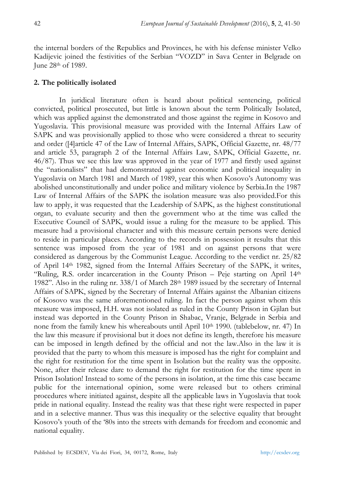the internal borders of the Republics and Provinces, he with his defense minister Velko Kadijevic joined the festivities of the Serbian "VOZD" in Sava Center in Belgrade on June 28th of 1989.

## **2. The politically isolated**

In juridical literature often is heard about political sentencing, political convicted, political prosecuted, but little is known about the term Politically Isolated, which was applied against the demonstrated and those against the regime in Kosovo and Yugoslavia. This provisional measure was provided with the Internal Affairs Law of SAPK and was provisionally applied to those who were considered a threat to security and order ([4]article 47 of the Law of Internal Affairs, SAPK, Official Gazette, nr. 48/77 and article 53, paragraph 2 of the Internal Affairs Law, SAPK, Official Gazette, nr. 46/87). Thus we see this law was approved in the year of 1977 and firstly used against the "nationalists" that had demonstrated against economic and political inequality in Yugoslavia on March 1981 and March of 1989, year this when Kosovo's Autonomy was abolished unconstitutionally and under police and military violence by Serbia.In the 1987 Law of Internal Affairs of the SAPK the isolation measure was also provided.For this law to apply, it was requested that the Leadership of SAPK, as the highest constitutional organ, to evaluate security and then the government who at the time was called the Executive Council of SAPK, would issue a ruling for the measure to be applied. This measure had a provisional character and with this measure certain persons were denied to reside in particular places. According to the records in possession it results that this sentence was imposed from the year of 1981 and on against persons that were considered as dangerous by the Communist League. According to the verdict nr. 25/82 of April 14th 1982, signed from the Internal Affairs Secretary of the SAPK, it writes, "Ruling, R.S. order incarceration in the County Prison  $-$  Peje starting on April  $14<sup>th</sup>$ 1982". Also in the ruling nr.  $338/1$  of March  $28<sup>th</sup>$  1989 issued by the secretary of Internal Affairs of SAPK, signed by the Secretary of Internal Affairs against the Albanian citizens of Kosovo was the same aforementioned ruling. In fact the person against whom this measure was imposed, H.H. was not isolated as ruled in the County Prison in Gjilan but instead was deported in the County Prison in Shabac, Vranje, Belgrade in Serbia and none from the family knew his whereabouts until April  $10<sup>th</sup> 1990$ . (tablebelow, nr. 47) In the law this measure if provisional but it does not define its length, therefore his measure can be imposed in length defined by the official and not the law.Also in the law it is provided that the party to whom this measure is imposed has the right for complaint and the right for restitution for the time spent in Isolation but the reality was the opposite. None, after their release dare to demand the right for restitution for the time spent in Prison Isolation! Instead to some of the persons in isolation, at the time this case became public for the international opinion, some were released but to others criminal procedures where initiated against, despite all the applicable laws in Yugoslavia that took pride in national equality. Instead the reality was that these right were respected in paper and in a selective manner. Thus was this inequality or the selective equality that brought Kosovo's youth of the '80s into the streets with demands for freedom and economic and national equality.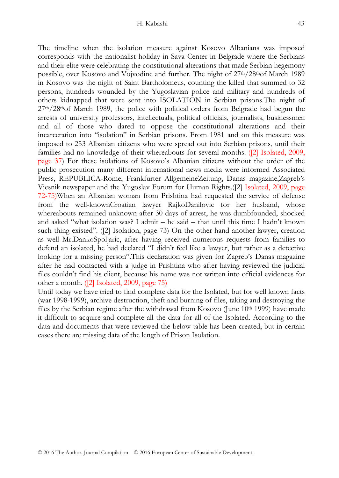The timeline when the isolation measure against Kosovo Albanians was imposed corresponds with the nationalist holiday in Sava Center in Belgrade where the Serbians and their elite were celebrating the constitutional alterations that made Serbian hegemony possible, over Kosovo and Vojvodine and further. The night of  $27<sup>th</sup>/28<sup>th</sup>$ of March 1989 in Kosovo was the night of Saint Bartholomeus, counting the killed that summed to 32 persons, hundreds wounded by the Yugoslavian police and military and hundreds of others kidnapped that were sent into ISOLATION in Serbian prisons.The night of  $27<sup>th</sup>/28<sup>th</sup>$ of March 1989, the police with political orders from Belgrade had begun the arrests of university professors, intellectuals, political officials, journalists, businessmen and all of those who dared to oppose the constitutional alterations and their incarceration into "isolation" in Serbian prisons. From 1981 and on this measure was imposed to 253 Albanian citizens who were spread out into Serbian prisons, until their families had no knowledge of their whereabouts for several months. ([2] Isolated, 2009, page 37) For these isolations of Kosovo's Albanian citizens without the order of the public prosecution many different international news media were informed Associated Press, REPUBLICA-Rome, Frankfurter AllgemeineZeitung, Danas magazine,Zagreb's Vjesnik newspaper and the Yugoslav Forum for Human Rights.([2] Isolated, 2009, page 72-75)When an Albanian woman from Prishtina had requested the service of defense from the well-knownCroatian lawyer RajkoDanilovic for her husband, whose whereabouts remained unknown after 30 days of arrest, he was dumbfounded, shocked and asked "what isolation was? I admit – he said – that until this time I hadn't known such thing existed". ([2] Isolation, page 73) On the other hand another lawyer, creation as well Mr.DankoSpoljaric, after having received numerous requests from families to defend an isolated, he had declared "I didn't feel like a lawyer, but rather as a detective looking for a missing person".This declaration was given for Zagreb's Danas magazine after he had contacted with a judge in Prishtina who after having reviewed the judicial files couldn't find his client, because his name was not written into official evidences for other a month. ([2] Isolated, 2009, page 75)

Until today we have tried to find complete data for the Isolated, but for well known facts (war 1998-1999), archive destruction, theft and burning of files, taking and destroying the files by the Serbian regime after the withdrawal from Kosovo (June  $10<sup>th</sup> 1999$ ) have made it difficult to acquire and complete all the data for all of the Isolated. According to the data and documents that were reviewed the below table has been created, but in certain cases there are missing data of the length of Prison Isolation.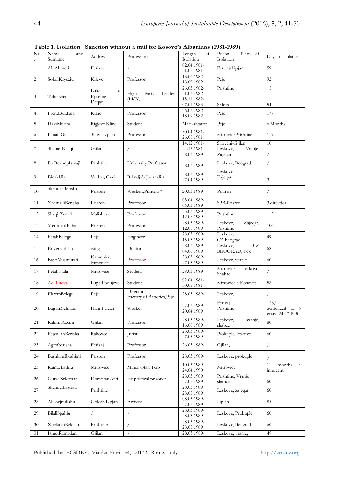| Nr           | Name<br>and<br>Surname | Address                    | Profession                             | Length<br>$\sigma$<br>Isolation          | Place of<br>Prison -<br>Isolation                 | Days of Isolation                          |
|--------------|------------------------|----------------------------|----------------------------------------|------------------------------------------|---------------------------------------------------|--------------------------------------------|
| $\mathbf{1}$ | Ali Ahmeti             | Ferizaj                    | 7                                      | 02.04.1981-<br>31.05.1981                | Ferizaj-Lipjan                                    | 59                                         |
| 2            | SokolKryeziu           | Kijeve                     | Professor                              | 18.06.1982-<br>18.09.1982                | Peje                                              | 92                                         |
| 3            | Tahir Geci             | Luke<br>$\rm e$<br>Epreme- | High<br>Party<br>Leader<br>(LKK)       | 26.03.1982-<br>31.03.1982<br>15.11.1982- | Prishtine                                         | 5                                          |
|              |                        | Deqan                      |                                        | 07.01.1983<br>26.03.1982-                | Shkup                                             | 54                                         |
| 4            | PrendBuzhala           | Kline                      | Professor                              | 18.09.1982                               | Peje                                              | 177                                        |
| 5            | HakiMorina             | Rigjeve Kline              | Student                                | Mars-shtator                             | Peje                                              | 6 Months                                   |
| 6            | Ismail Gashi           | Sllovi-Lipjan              | Professor                              | 30.04.1981-<br>26.08.1981                | MitrovicePrishtine                                | 119                                        |
| 7            | ShabanKlaiqi           | Gjilan                     | $\sqrt{2}$                             | 14.12.1981-<br>24.12.1981<br>28.03.1989- | Slloveni-Gjilan<br>Leskovc,<br>Vranje,<br>Zajeqar | 10                                         |
| 8            | Dr.RexhepIsmajli       | Prishtine                  | University Professor                   | 28.03.1989                               | Leskovc, Beograd                                  | $\sqrt{2}$                                 |
| 9            | BinakUlaj              | Vuthaj, Guci               | Rilindja's Journalist                  | 28.03.1989<br>27.04.1989                 | Leskovc<br>Zajeqar                                | 31                                         |
| 10           | SkenderBerisha         | Prizren                    | Worker, Printeks"                      | 20.03.1989                               | Prizren                                           | $\!\! /$                                   |
| 11           | XhemajliBerisha        | Prizren                    | Professor                              | 03.04.1989-<br>06.03.1989                | SPB-Prizren                                       | 3 ditevdes                                 |
| 12           | ShaqirZeneli           | Malisheve                  | Professor                              | 23.03.1989-<br>12.08.1989                | Prishtine                                         | 112                                        |
| 13           | MerimanBraha           | Prizren                    | Professor                              | 28.03.1989-<br>12.08.1989                | Leskovc,<br>Zajeqar,<br>Prishtine                 | 106                                        |
| 14           | FetahBelegu            | Peje                       | Engineer                               | 28.03.1989-<br>15.05.1989                | Leskovc,<br>CZ Beograd                            | 49                                         |
| 15           | EnverSadikaj           | istog                      | Doctor                                 | 28.03.1989-<br>04.06.1989                | CZ<br>Leskovc,<br><b>BEOGRAD</b> , Peje           | 68                                         |
| 16           | BasriMusmurati         | Kamenice,<br>kamenice      | Professor                              | 28.03.1989-<br>27.05.1989                | Leskovc, vranje                                   | 60                                         |
| 17           | Fetahshala             | Mitrovice                  | Student                                | 28.03.1989-                              | Mitrovice,<br>Leskovc,<br>Shabac                  | /                                          |
| 18           | AdilPireva             | LupciPodujeve              | Student                                | 02.04.1981-<br>30.05.1981                | Mitrovice e Kosoves                               | 58                                         |
| 19           | EkremBelegu            | Peje                       | Director<br>Factory of Batteries, Peje | 28.03.1989-                              | Leskovc,                                          | $\sqrt{2}$                                 |
| 20           | BajramSelmani          | Hani I elezit              | Worker                                 | 27.03.1989-<br>20.04.1989                | Ferizaj<br>Prishtine                              | 23/<br>Sentenced to 6<br>years, 24.07.1990 |
| 21           | Rahim Azemi            | Gjilan                     | Professor                              | 28.03.1989-<br>16.06.1989                | Leskovc,<br>vranje,<br>shabac                     | 80                                         |
| 22           | FejzullahBerisha       | Rahovec                    | Jurist                                 | 28.03.1989-<br>27.05.1989                | Prokuple, leskovc                                 | 60                                         |
| 23           | Agimberisha            | Ferizaj                    | Professor                              | 26.03.1989-                              | Gjilan,                                           | 7                                          |
| 24           | BashkimIbrahimi        | Prizren                    | Professor                              | 28.03.1989-                              | Leskovc, prokuple                                 |                                            |
| 25           | Ramiz kadriu           | Mitrovice                  | Miner -Stan Terg                       | 10.03.1989<br>24.04.1990                 | Mitrovice                                         | 11<br>months<br>$\sqrt{2}$<br>innocent     |
| 26           | GurselSylejmani        | Komoran-Viti               | Ex political prisoner                  | 28.03.1989<br>27.05.1989                 | Prishtine, Vranje<br>shabac                       | 60                                         |
| 27           | Skenderkastrati        | Prishtine                  | $\sqrt{2}$                             | 28.03.1989<br>28.05.1989                 | Leskovc, zajeqar                                  | 60                                         |
| 28           | Ali Zejnullahu         | Golesh, Lipjan             | Activist                               | 08.03.1989-<br>27.05.1989                | Lipjan                                            | 85                                         |
| 29           | BilallSpahiu           | $\sqrt{2}$                 | 7                                      | 28.03.1989-<br>28.05.1989                | Leskovc, Prokuple                                 | 60                                         |
| 30           | XheladinRekaliu        | Prishtine                  | /                                      | 28.03.1989-<br>28.05.1989                | Leskovc, Beograd                                  | 60                                         |
| 31           | IsmetRamadani          | Gjilan                     |                                        | 28.03.1989-                              | Leskovc, vranje,                                  | 49                                         |

**Table 1. Isolation –Sanction without a trail for Kosovo's Albanians (1981-1989)**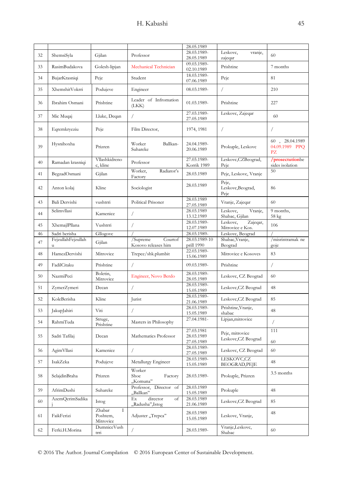|    |                         |                                      |                                            | 28.05.1989                             |                                          |                                        |
|----|-------------------------|--------------------------------------|--------------------------------------------|----------------------------------------|------------------------------------------|----------------------------------------|
| 32 | ShemsiSyla              | Gjilan                               | Professor                                  | 28.03.1989-<br>28.05.1989              | Leskovc,<br>vranje,<br>zajeqar           | 60                                     |
| 33 | RasimBudakova           | Golesh-lipjan                        | Mechanical Technician                      | 09.03.1989-<br>02.10.1989              | Prishtine                                | 7 months                               |
| 34 | BujarKrasniqi           | Peje                                 | Student                                    | 18.03.1989-<br>07.06.1989              | Peje                                     | 81                                     |
| 35 | XhemshitVokrri          | Podujeve                             | Engineer                                   | 08.03.1989-                            | $\sqrt{2}$                               | 210                                    |
| 36 | Ibrahim Osmani          | Prishtine                            | Leader of Infromation<br>(LKK)             | 01.03.1989-                            | Prishtine                                | 227                                    |
| 37 | Mic Muqaj               | Lluke, Deqan                         | $\sqrt{2}$                                 | 27.03.1989-<br>27.05.1989              | Leskovc, Zajeqar                         | 60                                     |
| 38 | Eqremkryeziu            | Peje                                 | Film Director,                             | 1974, 1981                             | $\sqrt{2}$                               | 7                                      |
| 39 | Hysnihoxha              | Prizren                              | Worker<br>Ballkan-<br>Suhareke             | 24.04.1989-<br>20.06.1989              | Prokuple, Leskovc                        | 60, 28.04.1989<br>04.09.1989 PPQ<br>PZ |
| 40 | Ramadan krasniqi        | Vllashkidreno<br>c, kline            | Professor                                  | 27.03.1989-<br>Korrik 1989             | Leskovc, CZBeograd,<br>Peje              | /prosectutionbe<br>sides isolation     |
| 41 | BegzadOsmani            | Gjilan                               | Worker,<br>Radiator's<br>Factory           | 28.03.1989                             | Peje, Leskovc, Vranje                    | 50                                     |
| 42 | Anton kolaj             | Kline                                | Sociologist                                | 28.03.1989                             | Peje,<br>Leskovc, Beograd,<br>Peje       | 86                                     |
| 43 | Bali Dervishi           | vushtrri                             | Political Prisoner                         | 28.03.1989<br>27.05.1989               | Vranje, Zajeqar                          | 60                                     |
| 44 | Selimvllasi             | Kamenice                             | $\sqrt{2}$                                 | 28.03.1989<br>13.12.1989               | Leskovc,<br>Vranje,<br>Shabac, Gjilan    | 9 months,<br>58 kg                     |
| 45 | XhemajlPllana           | Vushtrri                             | $\sqrt{2}$                                 | 28.03.1989-<br>12.07.1989              | Zajeqar,<br>Leskovc,<br>Mitrovice e Kos. | 106                                    |
| 46 | Sadri berisha           | Gllogovc                             |                                            | 28.03.1989-                            | Leskovc, Beograd                         |                                        |
| 47 | FejzullahFejzullah<br>u | Gjilan                               | /Supreme<br>Courtof<br>Kosovo releases him | 28.03.1989-10<br>prill 1990            | Shabac, Vranje,<br>Beograd               | /misrintramak ne<br>goje               |
| 48 | HamezDervishi           | Mitrovice                            | Trepce/shk.plumbit                         | 22.03.1989-<br>15.06.1989              | Mitrovice e Kosoves                      | 83                                     |
| 49 | FadilCitaku             | Prishtine                            | $\sqrt{2}$                                 | 09.03.1989-                            | Prishtine                                | $\sqrt{2}$                             |
| 50 | NazmiPeci               | Boletin,<br>Mitrovice                | Engineer, Novo Berdo                       | 28.03.1989-<br>28.05.1989              | Leskovc, CZ Beograd                      | 60                                     |
| 51 | ZymerZymeri             | Decan                                | $\sqrt{2}$                                 | 28.03.1989-<br>15.05.1989              | Leskovc, CZ Beograd                      | 48                                     |
| 52 | KoleBerisha             | Kline                                | Jurist                                     | 28.03.1989-<br>21.06.1989              | Leskovc, CZ Beograd                      | 85                                     |
| 53 | JakupJahiri             | Viti                                 | $\sqrt{2}$                                 | 28.03.1989-<br>15.05.1989              | Prishtine, Vranje,<br>shabac             | 48                                     |
| 54 | RahmiTuda               | Struge,<br>Prishtine                 | Masters in Philosophy                      | 27.04.1981-                            | Lipjan, mitrovice                        | $\sqrt{2}$                             |
| 55 | Sadri Tafilaj           | Decan                                | Mathematics Professor                      | 27.03.1981<br>28.03.1989<br>27.05.1989 | Peje, mitrovice<br>Leskovc, CZ Beograd   | 111<br>60                              |
| 56 | AgimVllasi              | Kamenice                             | $\sqrt{2}$                                 | 28.03.1989-<br>27.05.1989              | Leskovc, CZ Beograd                      | 60                                     |
| 57 | IsakZeka                | Podujeve                             | Metallurgy Engineer                        | 28.03.1989-<br>15.05.1989              | LESKOVC,CZ<br><b>BEOGRAD, PEJE</b>       | 48                                     |
| 58 | SelajdinBraha           | Prizren                              | Worker<br>Shoe<br>Factory<br>"Komuna"      | 28.03.1989-                            | Prokuple, Prizren                        | 3.5 months                             |
| 59 | AfrimDushi              | Suhareke                             | Professor, Director of<br>"Ballkan"        | 28.03.1989<br>15.05.1989               | Prokuple                                 | 48                                     |
| 60 | AzemQerimSadika         | Istog                                | Ex<br>director<br>of<br>"Radusha",Istog    | 28.03.1989<br>21.06.1989               | Leskovc, CZ Beograd                      | 85                                     |
| 61 | FaikFerizi              | Zhabar<br>I<br>Poshtem,<br>Mitrovice | Adjuster "Trepca"                          | 28.03.1989<br>15.05.1989               | Leskovc, Vranje,                         | 48                                     |
| 62 | Ferki.H.Morina          | DumniceVush<br>trri                  | $\sqrt{2}$                                 | 28.03.1989-                            | Vranje,Leskovc,<br>Shabac                | 60                                     |
|    |                         |                                      |                                            |                                        |                                          |                                        |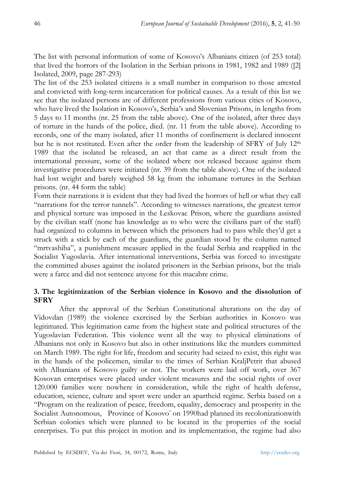The list with personal information of some of Kosovo's Albanians citizen (of 253 total) that lived the horrors of the Isolation in the Serbian prisons in 1981, 1982 and 1989 ([2] Isolated, 2009, page 287-293)

The list of the 253 isolated citizens is a small number in comparison to those arrested and convicted with long-term incarceration for political causes. As a result of this list we see that the isolated persons are of different professions from various cities of Kosovo, who have lived the Isolation in Kosovo's, Serbia's and Slovenian Prisons, in lengths from 5 days to 11 months (nr. 25 from the table above). One of the isolated, after three days of torture in the hands of the police, died. (nr. 11 from the table above). According to records, one of the many isolated, after 11 months of confinement is declared innocent but he is not restituted. Even after the order from the leadership of SFRY of July  $12<sup>th</sup>$ 1989 that the isolated be released, an act that came as a direct result from the international pressure, some of the isolated where not released because against them investigative procedures were initiated (nr. 39 from the table above). One of the isolated had lost weight and barely weighed 58 kg from the inhumane tortures in the Serbian prisons. (nr. 44 form the table)

Form their narrations it is evident that they had lived the horrors of hell or what they call "narrations for the terror tunnels". According to witnesses narrations, the greatest terror and physical torture was imposed in the Leskovac Prison, where the guardians assisted by the civilian staff (none has knowledge as to who were the civilians part of the staff) had organized to columns in between which the prisoners had to pass while they'd get a struck with a stick by each of the guardians, the guardian stood by the column named "mrtvashiba", a punishment measure applied in the feudal Serbia and reapplied in the Socialist Yugoslavia. After international interventions, Serbia was forced to investigate the committed abuses against the isolated prisoners in the Serbian prisons, but the trials were a farce and did not sentence anyone for this macabre crime.

# **3. The legitimization of the Serbian violence in Kosovo and the dissolution of SFRY**

After the approval of the Serbian Constitutional alterations on the day of Vidovdan (1989) the violence exercised by the Serbian authorities in Kosovo was legitimated. This legitimation came from the highest state and political structures of the Yugoslavian Federation. This violence went all the way to physical eliminations of Albanians not only in Kosovo but also in other institutions like the murders committed on March 1989. The right for life, freedom and security had seized to exist, this right was in the hands of the policemen, similar to the times of Serbian KraljPetrit that abused with Albanians of Kosovo guilty or not. The workers were laid off work, over 367 Kosovan enterprises were placed under violent measures and the social rights of over 120.000 families were nowhere in consideration, while the right of health defense, education, science, culture and sport were under an apartheid regime. Serbia based on a "Program on the realization of peace, freedom, equality, democracy and prosperity in the Socialist Autonomous, Province of Kosovo" on 1990had planned its recolonizationwith Serbian colonies which were planned to be located in the properties of the social enterprises. To put this project in motion and its implementation, the regime had also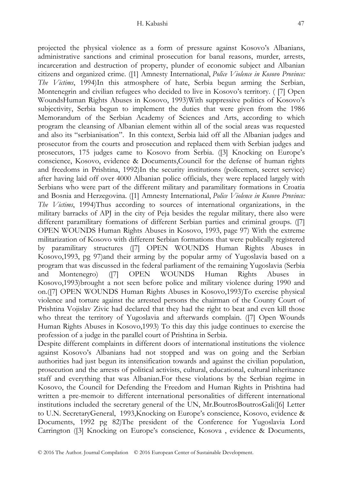projected the physical violence as a form of pressure against Kosovo's Albanians, administrative sanctions and criminal prosecution for banal reasons, murder, arrests, incarceration and destruction of property, plunder of economic subject and Albanian citizens and organized crime. ([1] Amnesty International, *Police Violence in Kosovo Province: The Victims*, 1994)In this atmosphere of hate, Serbia begun arming the Serbian, Montenegrin and civilian refugees who decided to live in Kosovo's territory. ( [7] Open WoundsHuman Rights Abuses in Kosovo, 1993)With suppressive politics of Kosovo's subjectivity, Serbia begun to implement the duties that were given from the 1986 Memorandum of the Serbian Academy of Sciences and Arts, according to which program the cleansing of Albanian element within all of the social areas was requested and also its "serbianisation". In this context, Serbia laid off all the Albanian judges and prosecutor from the courts and prosecution and replaced them with Serbian judges and prosecutors, 175 judges came to Kosovo from Serbia. ([3] Knocking on Europe's conscience, Kosovo, evidence & Documents,Council for the defense of human rights and freedoms in Prishtina, 1992)In the security institutions (policemen, secret service) after having laid off over 4000 Albanian police officials, they were replaced largely with Serbians who were part of the different military and paramilitary formations in Croatia and Bosnia and Herzegovina. ([1] Amnesty International, *Police Violence in Kosovo Province: The Victims*, 1994)Thus according to sources of international organizations, in the military barracks of APJ in the city of Peja besides the regular military, there also were different paramilitary formations of different Serbian parties and criminal groups. ([7] OPEN WOUNDS Human Rights Abuses in Kosovo, 1993, page 97) With the extreme militarization of Kosovo with different Serbian formations that were publically registered by paramilitary structures ([7] OPEN WOUNDS Human Rights Abuses in Kosovo,1993, pg 97)and their arming by the popular army of Yugoslavia based on a program that was discussed in the federal parliament of the remaining Yugoslavia (Serbia and Montenegro) ([7] OPEN WOUNDS Human Rights Abuses in Kosovo,1993)brought a not seen before police and military violence during 1990 and on.([7] OPEN WOUNDS Human Rights Abuses in Kosovo,1993)To exercise physical violence and torture against the arrested persons the chairman of the County Court of Prishtina Vojislav Zivic had declared that they had the right to beat and even kill those who threat the territory of Yugoslavia and afterwards complain. ([7] Open Wounds Human Rights Abuses in Kosovo,1993) To this day this judge continues to exercise the profession of a judge in the parallel court of Prishtina in Serbia.

Despite different complaints in different doors of international institutions the violence against Kosovo's Albanians had not stopped and was on going and the Serbian authorities had just begun its intensification towards and against the civilian population, prosecution and the arrests of political activists, cultural, educational, cultural inheritance staff and everything that was Albanian.For these violations by the Serbian regime in Kosovo, the Council for Defending the Freedom and Human Rights in Prishtina had written a pre-memoir to different international personalities of different international institutions included the secretary general of the UN, Mr.BoutrosBoutrosGali([6] Letter to U.N. SecretaryGeneral, 1993,Knocking on Europe's conscience, Kosovo, evidence & Documents, 1992 pg 82)The president of the Conference for Yugoslavia Lord Carrington ([3] Knocking on Europe's conscience, Kosova , evidence & Documents,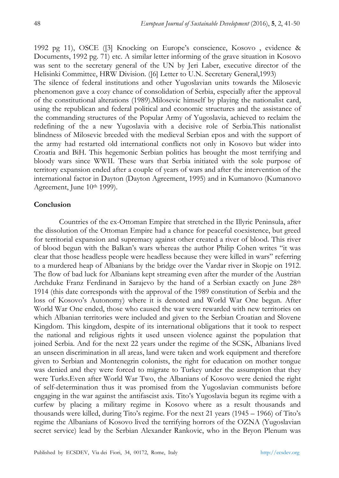1992 pg 11), OSCE ([3] Knocking on Europe's conscience, Kosovo , evidence & Documents, 1992 pg. 71) etc. A similar letter informing of the grave situation in Kosovo was sent to the secretary general of the UN by Jeri Laber, executive director of the Helisinki Committee, HRW Division. ([6] Letter to U.N. Secretary General,1993)

The silence of federal institutions and other Yugoslavian units towards the Milosevic phenomenon gave a cozy chance of consolidation of Serbia, especially after the approval of the constitutional alterations (1989).Milosevic himself by playing the nationalist card, using the republican and federal political and economic structures and the assistance of the commanding structures of the Popular Army of Yugoslavia, achieved to reclaim the redefining of the a new Yugoslavia with a decisive role of Serbia.This nationalist blindness of Milosevic breeded with the medieval Serbian epos and with the support of the army had restarted old international conflicts not only in Kosovo but wider into Croatia and BiH. This hegemonic Serbian politics has brought the most terrifying and bloody wars since WWII. These wars that Serbia initiated with the sole purpose of territory expansion ended after a couple of years of wars and after the intervention of the international factor in Dayton (Dayton Agreement, 1995) and in Kumanovo (Kumanovo Agreement, June 10<sup>th</sup> 1999).

## **Conclusion**

Countries of the ex-Ottoman Empire that stretched in the Illyric Peninsula, after the dissolution of the Ottoman Empire had a chance for peaceful coexistence, but greed for territorial expansion and supremacy against other created a river of blood. This river of blood begun with the Balkan's wars whereas the author Philip Cohen writes "it was clear that those headless people were headless because they were killed in wars" referring to a murdered heap of Albanians by the bridge over the Vardar river in Skopje on 1912. The flow of bad luck for Albanians kept streaming even after the murder of the Austrian Archduke Franz Ferdinand in Sarajevo by the hand of a Serbian exactly on June 28<sup>th</sup> 1914 (this date corresponds with the approval of the 1989 constitution of Serbia and the loss of Kosovo's Autonomy) where it is denoted and World War One begun. After World War One ended, those who caused the war were rewarded with new territories on which Albanian territories were included and given to the Serbian Croatian and Slovene Kingdom. This kingdom, despite of its international obligations that it took to respect the national and religious rights it used unseen violence against the population that joined Serbia. And for the next 22 years under the regime of the SCSK, Albanians lived an unseen discrimination in all areas, land were taken and work equipment and therefore given to Serbian and Montenegrin colonists, the right for education on mother tongue was denied and they were forced to migrate to Turkey under the assumption that they were Turks.Even after World War Two, the Albanians of Kosovo were denied the right of self-determination thus it was promised from the Yugoslavian communists before engaging in the war against the antifascist axis. Tito's Yugoslavia begun its regime with a curfew by placing a military regime in Kosovo where as a result thousands and thousands were killed, during Tito's regime. For the next 21 years (1945 – 1966) of Tito's regime the Albanians of Kosovo lived the terrifying horrors of the OZNA (Yugoslavian secret service) lead by the Serbian Alexander Rankovic, who in the Bryon Plenum was